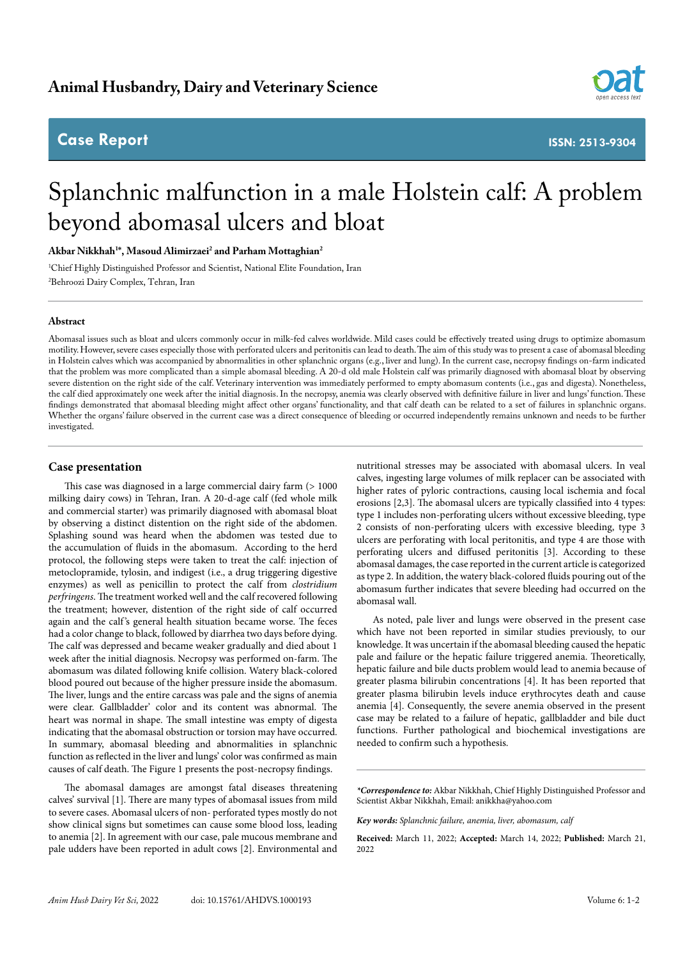# **Case Report**



**ISSN: 2513-9304**

# Splanchnic malfunction in a male Holstein calf: A problem beyond abomasal ulcers and bloat

**Akbar Nikkhah1 \*, Masoud Alimirzaei2 and Parham Mottaghian2**

1 Chief Highly Distinguished Professor and Scientist, National Elite Foundation, Iran 2 Behroozi Dairy Complex, Tehran, Iran

#### **Abstract**

Abomasal issues such as bloat and ulcers commonly occur in milk-fed calves worldwide. Mild cases could be effectively treated using drugs to optimize abomasum motility. However, severe cases especially those with perforated ulcers and peritonitis can lead to death. The aim of this study was to present a case of abomasal bleeding in Holstein calves which was accompanied by abnormalities in other splanchnic organs (e.g., liver and lung). In the current case, necropsy findings on-farm indicated that the problem was more complicated than a simple abomasal bleeding. A 20-d old male Holstein calf was primarily diagnosed with abomasal bloat by observing severe distention on the right side of the calf. Veterinary intervention was immediately performed to empty abomasum contents (i.e., gas and digesta). Nonetheless, the calf died approximately one week after the initial diagnosis. In the necropsy, anemia was clearly observed with definitive failure in liver and lungs' function. These findings demonstrated that abomasal bleeding might affect other organs' functionality, and that calf death can be related to a set of failures in splanchnic organs. Whether the organs' failure observed in the current case was a direct consequence of bleeding or occurred independently remains unknown and needs to be further investigated.

#### **Case presentation**

This case was diagnosed in a large commercial dairy farm (> 1000 milking dairy cows) in Tehran, Iran. A 20-d-age calf (fed whole milk and commercial starter) was primarily diagnosed with abomasal bloat by observing a distinct distention on the right side of the abdomen. Splashing sound was heard when the abdomen was tested due to the accumulation of fluids in the abomasum. According to the herd protocol, the following steps were taken to treat the calf: injection of metoclopramide, tylosin, and indigest (i.e., a drug triggering digestive enzymes) as well as penicillin to protect the calf from *clostridium perfringens*. The treatment worked well and the calf recovered following the treatment; however, distention of the right side of calf occurred again and the calf's general health situation became worse. The feces had a color change to black, followed by diarrhea two days before dying. The calf was depressed and became weaker gradually and died about 1 week after the initial diagnosis. Necropsy was performed on-farm. The abomasum was dilated following knife collision. Watery black-colored blood poured out because of the higher pressure inside the abomasum. The liver, lungs and the entire carcass was pale and the signs of anemia were clear. Gallbladder' color and its content was abnormal. The heart was normal in shape. The small intestine was empty of digesta indicating that the abomasal obstruction or torsion may have occurred. In summary, abomasal bleeding and abnormalities in splanchnic function as reflected in the liver and lungs' color was confirmed as main causes of calf death. The Figure 1 presents the post-necropsy findings.

The abomasal damages are amongst fatal diseases threatening calves' survival [1]. There are many types of abomasal issues from mild to severe cases. Abomasal ulcers of non- perforated types mostly do not show clinical signs but sometimes can cause some blood loss, leading to anemia [2]. In agreement with our case, pale mucous membrane and pale udders have been reported in adult cows [2]. Environmental and

nutritional stresses may be associated with abomasal ulcers. In veal calves, ingesting large volumes of milk replacer can be associated with higher rates of pyloric contractions, causing local ischemia and focal erosions [2,3]. The abomasal ulcers are typically classified into 4 types: type 1 includes non-perforating ulcers without excessive bleeding, type 2 consists of non-perforating ulcers with excessive bleeding, type 3 ulcers are perforating with local peritonitis, and type 4 are those with perforating ulcers and diffused peritonitis [3]. According to these abomasal damages, the case reported in the current article is categorized as type 2. In addition, the watery black-colored fluids pouring out of the abomasum further indicates that severe bleeding had occurred on the abomasal wall.

As noted, pale liver and lungs were observed in the present case which have not been reported in similar studies previously, to our knowledge. It was uncertain if the abomasal bleeding caused the hepatic pale and failure or the hepatic failure triggered anemia. Theoretically, hepatic failure and bile ducts problem would lead to anemia because of greater plasma bilirubin concentrations [4]. It has been reported that greater plasma bilirubin levels induce erythrocytes death and cause anemia [4]. Consequently, the severe anemia observed in the present case may be related to a failure of hepatic, gallbladder and bile duct functions. Further pathological and biochemical investigations are needed to confirm such a hypothesis.

*\*Correspondence to:* Akbar Nikkhah, Chief Highly Distinguished Professor and Scientist Akbar Nikkhah, Email: anikkha@yahoo.com

*Key words: Splanchnic failure, anemia, liver, abomasum, calf*

**Received:** March 11, 2022; **Accepted:** March 14, 2022; **Published:** March 21, 2022